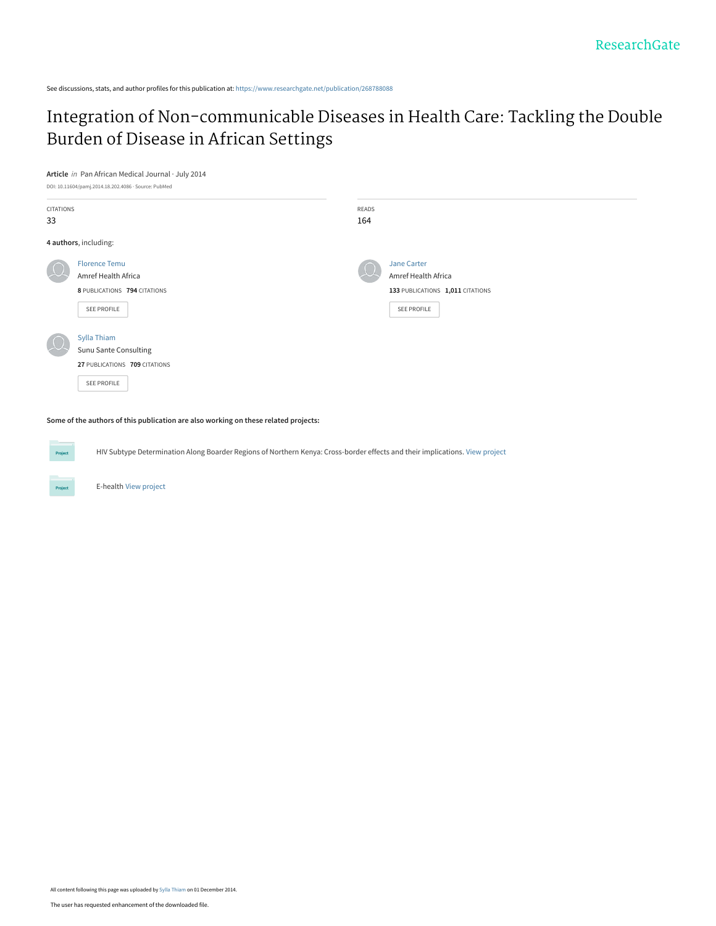See discussions, stats, and author profiles for this publication at: [https://www.researchgate.net/publication/268788088](https://www.researchgate.net/publication/268788088_Integration_of_Non-communicable_Diseases_in_Health_Care_Tackling_the_Double_Burden_of_Disease_in_African_Settings?enrichId=rgreq-1e136155481dd846ed16cb135b95dd8b-XXX&enrichSource=Y292ZXJQYWdlOzI2ODc4ODA4ODtBUzoxNjk1NDkyOTUwMDU2OTdAMTQxNzQzNTExMDY4Ng%3D%3D&el=1_x_2&_esc=publicationCoverPdf)

[Integration of Non-communicable Diseases in Health Care: Tackling the Double](https://www.researchgate.net/publication/268788088_Integration_of_Non-communicable_Diseases_in_Health_Care_Tackling_the_Double_Burden_of_Disease_in_African_Settings?enrichId=rgreq-1e136155481dd846ed16cb135b95dd8b-XXX&enrichSource=Y292ZXJQYWdlOzI2ODc4ODA4ODtBUzoxNjk1NDkyOTUwMDU2OTdAMTQxNzQzNTExMDY4Ng%3D%3D&el=1_x_3&_esc=publicationCoverPdf) Burden of Disease in African Settings

**Article** in Pan African Medical Journal · July 2014

DOI: 10.11604/pamj.2014.18.202.4086 · Source: PubMed

| CITATIONS |                               | READS |                                  |
|-----------|-------------------------------|-------|----------------------------------|
| 33        |                               | 164   |                                  |
|           | 4 authors, including:         |       |                                  |
|           | <b>Florence Temu</b>          |       | <b>Jane Carter</b>               |
|           | Amref Health Africa           |       | Amref Health Africa              |
|           | 8 PUBLICATIONS 794 CITATIONS  |       | 133 PUBLICATIONS 1,011 CITATIONS |
|           | SEE PROFILE                   |       | <b>SEE PROFILE</b>               |
|           |                               |       |                                  |
|           | Sylla Thiam                   |       |                                  |
|           | Sunu Sante Consulting         |       |                                  |
|           | 27 PUBLICATIONS 709 CITATIONS |       |                                  |
|           | SEE PROFILE                   |       |                                  |
|           |                               |       |                                  |

**Some of the authors of this publication are also working on these related projects:**

HIV Subtype Determination Along Boarder Regions of Northern Kenya: Cross-border effects and their implications. [View project](https://www.researchgate.net/project/HIV-Subtype-Determination-Along-Boarder-Regions-of-Northern-Kenya-Cross-border-effects-and-their-implications?enrichId=rgreq-1e136155481dd846ed16cb135b95dd8b-XXX&enrichSource=Y292ZXJQYWdlOzI2ODc4ODA4ODtBUzoxNjk1NDkyOTUwMDU2OTdAMTQxNzQzNTExMDY4Ng%3D%3D&el=1_x_9&_esc=publicationCoverPdf)

E-health [View project](https://www.researchgate.net/project/E-health?enrichId=rgreq-1e136155481dd846ed16cb135b95dd8b-XXX&enrichSource=Y292ZXJQYWdlOzI2ODc4ODA4ODtBUzoxNjk1NDkyOTUwMDU2OTdAMTQxNzQzNTExMDY4Ng%3D%3D&el=1_x_9&_esc=publicationCoverPdf)

Project

**Project**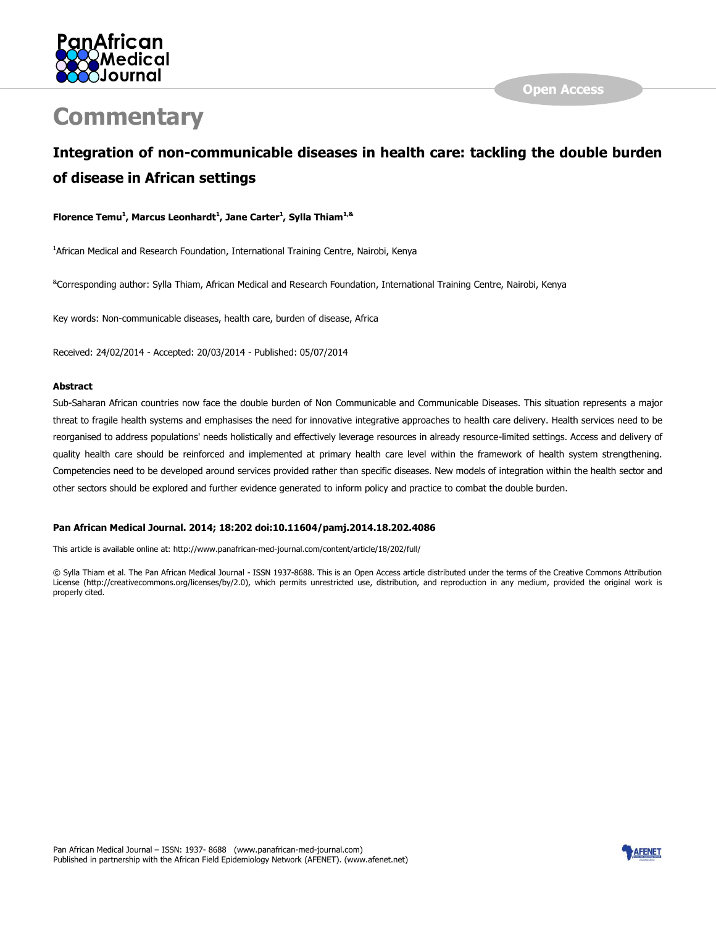

# **Commentary**

## **Integration of non-communicable diseases in health care: tackling the double burden of disease in African settings**

### **Florence Temu<sup>1</sup> , Marcus Leonhardt<sup>1</sup> , Jane Carter<sup>1</sup> , Sylla Thiam1,&**

<sup>1</sup>African Medical and Research Foundation, International Training Centre, Nairobi, Kenya

&Corresponding author: Sylla Thiam, African Medical and Research Foundation, International Training Centre, Nairobi, Kenya

Key words: Non-communicable diseases, health care, burden of disease, Africa

Received: 24/02/2014 - Accepted: 20/03/2014 - Published: 05/07/2014

### **Abstract**

Sub-Saharan African countries now face the double burden of Non Communicable and Communicable Diseases. This situation represents a major threat to fragile health systems and emphasises the need for innovative integrative approaches to health care delivery. Health services need to be reorganised to address populations' needs holistically and effectively leverage resources in already resource-limited settings. Access and delivery of quality health care should be reinforced and implemented at primary health care level within the framework of health system strengthening. Competencies need to be developed around services provided rather than specific diseases. New models of integration within the health sector and other sectors should be explored and further evidence generated to inform policy and practice to combat the double burden.

### **Pan African Medical Journal. 2014; 18:202 doi:10.11604/pamj.2014.18.202.4086**

This article is available online at: http://www.panafrican-med-journal.com/content/article/18/202/full/

© Sylla Thiam et al. The Pan African Medical Journal - ISSN 1937-8688. This is an Open Access article distributed under the terms of the Creative Commons Attribution License (http://creativecommons.org/licenses/by/2.0), which permits unrestricted use, distribution, and reproduction in any medium, provided the original work is properly cited.

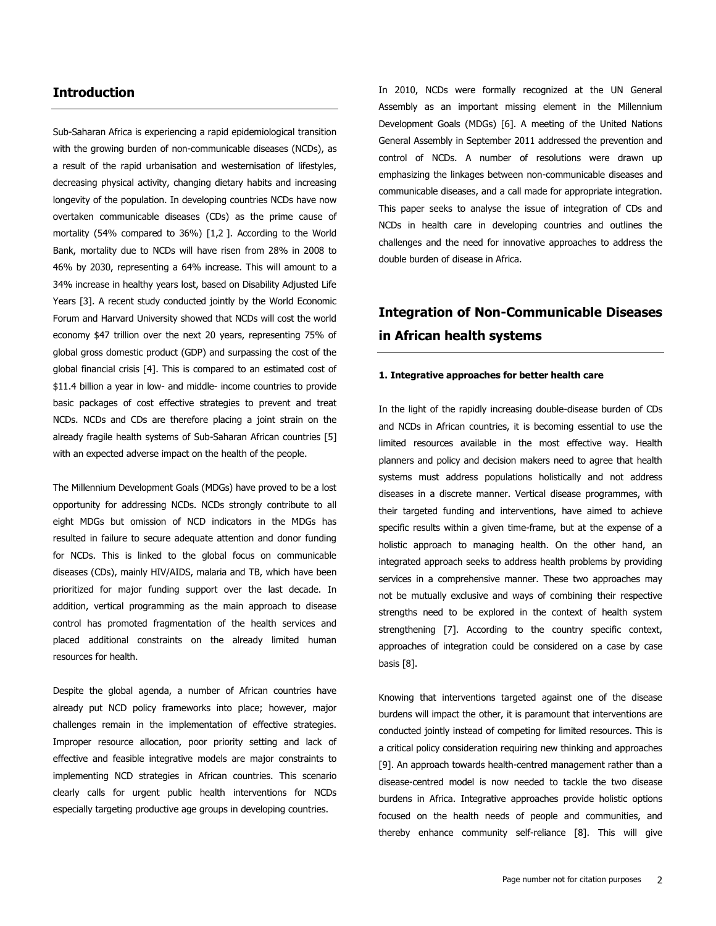## **Introduction**

Sub-Saharan Africa is experiencing a rapid epidemiological transition with the growing burden of non-communicable diseases (NCDs), as a result of the rapid urbanisation and westernisation of lifestyles, decreasing physical activity, changing dietary habits and increasing longevity of the population. In developing countries NCDs have now overtaken communicable diseases (CDs) as the prime cause of mortality (54% compared to 36%) [\[1,](file:///C:\Users\iamong\Desktop\PAMJ%20PDF%20files\PAMJ-18-201-250\PAMJ-18-201_250\PAMJ-18-202-article.htm%23ref1)[2](file:///C:\Users\iamong\Desktop\PAMJ%20PDF%20files\PAMJ-18-201-250\PAMJ-18-201_250\PAMJ-18-202-article.htm%23ref2%20) ]. According to the World Bank, mortality due to NCDs will have risen from 28% in 2008 to 46% by 2030, representing a 64% increase. This will amount to a 34% increase in healthy years lost, based on Disability Adjusted Life Years [\[3\]](file:///C:\Users\iamong\Desktop\PAMJ%20PDF%20files\PAMJ-18-201-250\PAMJ-18-201_250\PAMJ-18-202-article.htm%23ref3). A recent study conducted jointly by the World Economic Forum and Harvard University showed that NCDs will cost the world economy \$47 trillion over the next 20 years, representing 75% of global gross domestic product (GDP) and surpassing the cost of the global financial crisis [\[4\]](file:///C:\Users\iamong\Desktop\PAMJ%20PDF%20files\PAMJ-18-201-250\PAMJ-18-201_250\PAMJ-18-202-article.htm%23ref4). This is compared to an estimated cost of \$11.4 billion a year in low- and middle- income countries to provide basic packages of cost effective strategies to prevent and treat NCDs. NCDs and CDs are therefore placing a joint strain on the already fragile health systems of Sub-Saharan African countries [\[5\]](file:///C:\Users\iamong\Desktop\PAMJ%20PDF%20files\PAMJ-18-201-250\PAMJ-18-201_250\PAMJ-18-202-article.htm%23ref5) with an expected adverse impact on the health of the people.

The Millennium Development Goals (MDGs) have proved to be a lost opportunity for addressing NCDs. NCDs strongly contribute to all eight MDGs but omission of NCD indicators in the MDGs has resulted in failure to secure adequate attention and donor funding for NCDs. This is linked to the global focus on communicable diseases (CDs), mainly HIV/AIDS, malaria and TB, which have been prioritized for major funding support over the last decade. In addition, vertical programming as the main approach to disease control has promoted fragmentation of the health services and placed additional constraints on the already limited human resources for health.

Despite the global agenda, a number of African countries have already put NCD policy frameworks into place; however, major challenges remain in the implementation of effective strategies. Improper resource allocation, poor priority setting and lack of effective and feasible integrative models are major constraints to implementing NCD strategies in African countries. This scenario clearly calls for urgent public health interventions for NCDs especially targeting productive age groups in developing countries.

In 2010, NCDs were formally recognized at the UN General Assembly as an important missing element in the Millennium Development Goals (MDGs) [\[6\]](file:///C:\Users\iamong\Desktop\PAMJ%20PDF%20files\PAMJ-18-201-250\PAMJ-18-201_250\PAMJ-18-202-article.htm%23ref6). A meeting of the United Nations General Assembly in September 2011 addressed the prevention and control of NCDs. A number of resolutions were drawn up emphasizing the linkages between non-communicable diseases and communicable diseases, and a call made for appropriate integration. This paper seeks to analyse the issue of integration of CDs and NCDs in health care in developing countries and outlines the challenges and the need for innovative approaches to address the double burden of disease in Africa.

## **Integration of Non-Communicable Diseases in African health systems**

#### **1. Integrative approaches for better health care**

In the light of the rapidly increasing double-disease burden of CDs and NCDs in African countries, it is becoming essential to use the limited resources available in the most effective way. Health planners and policy and decision makers need to agree that health systems must address populations holistically and not address diseases in a discrete manner. Vertical disease programmes, with their targeted funding and interventions, have aimed to achieve specific results within a given time-frame, but at the expense of a holistic approach to managing health. On the other hand, an integrated approach seeks to address health problems by providing services in a comprehensive manner. These two approaches may not be mutually exclusive and ways of combining their respective strengths need to be explored in the context of health system strengthening [\[7\]](file:///C:\Users\iamong\Desktop\PAMJ%20PDF%20files\PAMJ-18-201-250\PAMJ-18-201_250\PAMJ-18-202-article.htm%23ref7). According to the country specific context, approaches of integration could be considered on a case by case basis [\[8\]](file:///C:\Users\iamong\Desktop\PAMJ%20PDF%20files\PAMJ-18-201-250\PAMJ-18-201_250\PAMJ-18-202-article.htm%23ref8).

Knowing that interventions targeted against one of the disease burdens will impact the other, it is paramount that interventions are conducted jointly instead of competing for limited resources. This is a critical policy consideration requiring new thinking and approaches [\[9\]](file:///C:\Users\iamong\Desktop\PAMJ%20PDF%20files\PAMJ-18-201-250\PAMJ-18-201_250\PAMJ-18-202-article.htm%23ref9). An approach towards health-centred management rather than a disease-centred model is now needed to tackle the two disease burdens in Africa. Integrative approaches provide holistic options focused on the health needs of people and communities, and thereby enhance community self-reliance [\[8\]](file:///C:\Users\iamong\Desktop\PAMJ%20PDF%20files\PAMJ-18-201-250\PAMJ-18-201_250\PAMJ-18-202-article.htm%23ref8). This will give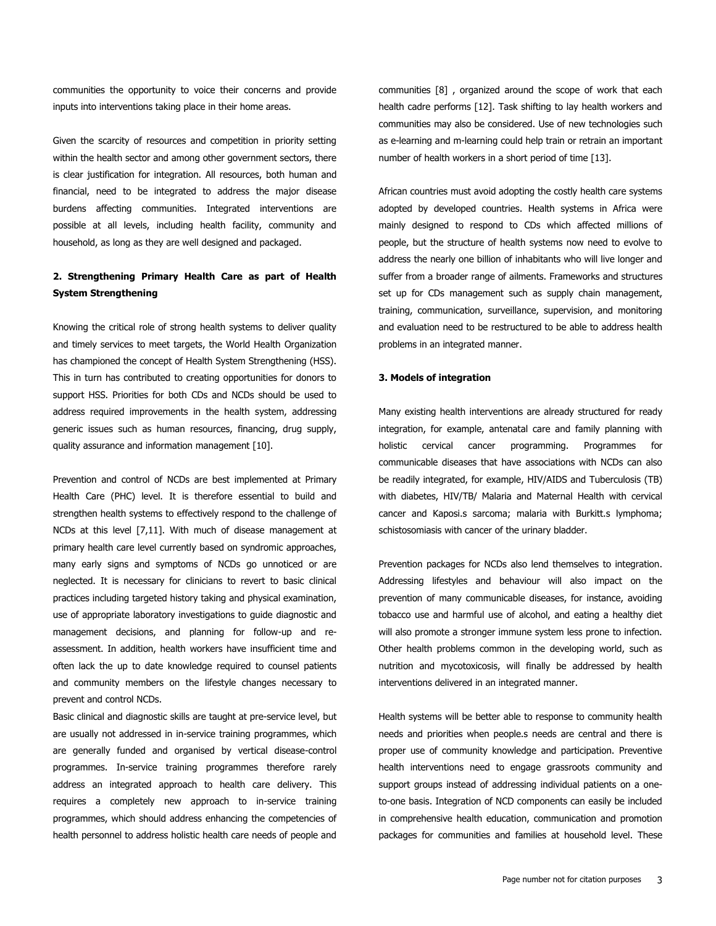communities the opportunity to voice their concerns and provide inputs into interventions taking place in their home areas.

Given the scarcity of resources and competition in priority setting within the health sector and among other government sectors, there is clear justification for integration. All resources, both human and financial, need to be integrated to address the major disease burdens affecting communities. Integrated interventions are possible at all levels, including health facility, community and household, as long as they are well designed and packaged.

## **2. Strengthening Primary Health Care as part of Health System Strengthening**

Knowing the critical role of strong health systems to deliver quality and timely services to meet targets, the World Health Organization has championed the concept of Health System Strengthening (HSS). This in turn has contributed to creating opportunities for donors to support HSS. Priorities for both CDs and NCDs should be used to address required improvements in the health system, addressing generic issues such as human resources, financing, drug supply, quality assurance and information management [\[10\]](file:///C:\Users\iamong\Desktop\PAMJ%20PDF%20files\PAMJ-18-201-250\PAMJ-18-201_250\PAMJ-18-202-article.htm%23ref10).

Prevention and control of NCDs are best implemented at Primary Health Care (PHC) level. It is therefore essential to build and strengthen health systems to effectively respond to the challenge of NCDs at this level [\[7,](file:///C:\Users\iamong\Desktop\PAMJ%20PDF%20files\PAMJ-18-201-250\PAMJ-18-201_250\PAMJ-18-202-article.htm%23ref7)[11\]](file:///C:\Users\iamong\Desktop\PAMJ%20PDF%20files\PAMJ-18-201-250\PAMJ-18-201_250\PAMJ-18-202-article.htm%23ref11). With much of disease management at primary health care level currently based on syndromic approaches, many early signs and symptoms of NCDs go unnoticed or are neglected. It is necessary for clinicians to revert to basic clinical practices including targeted history taking and physical examination, use of appropriate laboratory investigations to guide diagnostic and management decisions, and planning for follow-up and reassessment. In addition, health workers have insufficient time and often lack the up to date knowledge required to counsel patients and community members on the lifestyle changes necessary to prevent and control NCDs.

Basic clinical and diagnostic skills are taught at pre-service level, but are usually not addressed in in-service training programmes, which are generally funded and organised by vertical disease-control programmes. In-service training programmes therefore rarely address an integrated approach to health care delivery. This requires a completely new approach to in-service training programmes, which should address enhancing the competencies of health personnel to address holistic health care needs of people and

communities [\[8\]](file:///C:\Users\iamong\Desktop\PAMJ%20PDF%20files\PAMJ-18-201-250\PAMJ-18-201_250\PAMJ-18-202-article.htm%23ref8) , organized around the scope of work that each health cadre performs [\[12\]](file:///C:\Users\iamong\Desktop\PAMJ%20PDF%20files\PAMJ-18-201-250\PAMJ-18-201_250\PAMJ-18-202-article.htm%23ref12). Task shifting to lay health workers and communities may also be considered. Use of new technologies such as e-learning and m-learning could help train or retrain an important number of health workers in a short period of time [\[13\]](file:///C:\Users\iamong\Desktop\PAMJ%20PDF%20files\PAMJ-18-201-250\PAMJ-18-201_250\PAMJ-18-202-article.htm%23ref13).

African countries must avoid adopting the costly health care systems adopted by developed countries. Health systems in Africa were mainly designed to respond to CDs which affected millions of people, but the structure of health systems now need to evolve to address the nearly one billion of inhabitants who will live longer and suffer from a broader range of ailments. Frameworks and structures set up for CDs management such as supply chain management, training, communication, surveillance, supervision, and monitoring and evaluation need to be restructured to be able to address health problems in an integrated manner.

#### **3. Models of integration**

Many existing health interventions are already structured for ready integration, for example, antenatal care and family planning with holistic cervical cancer programming. Programmes for communicable diseases that have associations with NCDs can also be readily integrated, for example, HIV/AIDS and Tuberculosis (TB) with diabetes, HIV/TB/ Malaria and Maternal Health with cervical cancer and Kaposi.s sarcoma; malaria with Burkitt.s lymphoma; schistosomiasis with cancer of the urinary bladder.

Prevention packages for NCDs also lend themselves to integration. Addressing lifestyles and behaviour will also impact on the prevention of many communicable diseases, for instance, avoiding tobacco use and harmful use of alcohol, and eating a healthy diet will also promote a stronger immune system less prone to infection. Other health problems common in the developing world, such as nutrition and mycotoxicosis, will finally be addressed by health interventions delivered in an integrated manner.

Health systems will be better able to response to community health needs and priorities when people.s needs are central and there is proper use of community knowledge and participation. Preventive health interventions need to engage grassroots community and support groups instead of addressing individual patients on a oneto-one basis. Integration of NCD components can easily be included in comprehensive health education, communication and promotion packages for communities and families at household level. These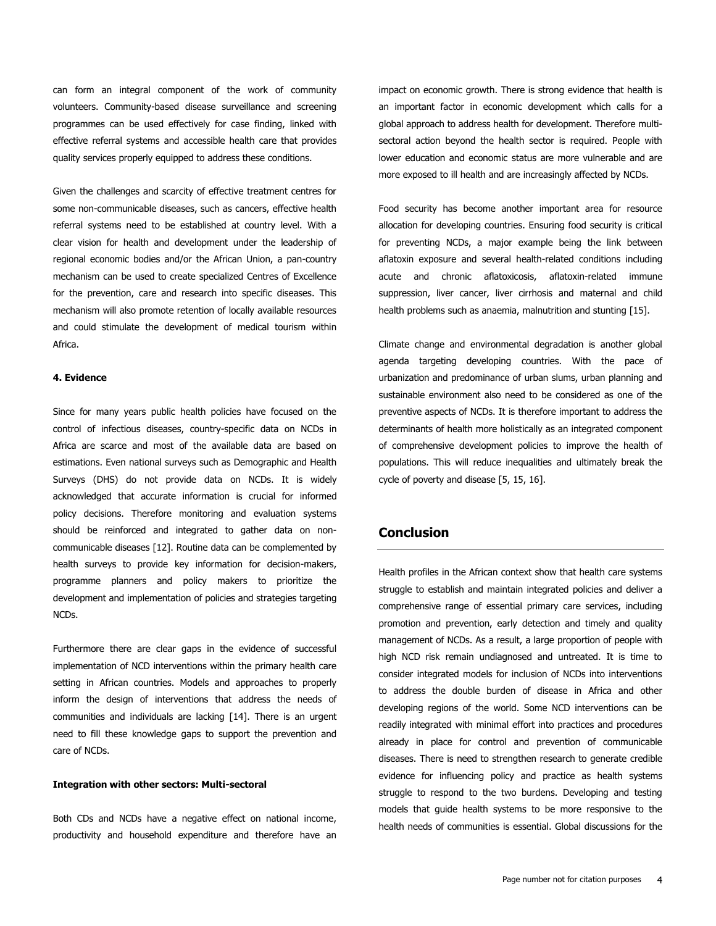can form an integral component of the work of community volunteers. Community-based disease surveillance and screening programmes can be used effectively for case finding, linked with effective referral systems and accessible health care that provides quality services properly equipped to address these conditions.

Given the challenges and scarcity of effective treatment centres for some non-communicable diseases, such as cancers, effective health referral systems need to be established at country level. With a clear vision for health and development under the leadership of regional economic bodies and/or the African Union, a pan-country mechanism can be used to create specialized Centres of Excellence for the prevention, care and research into specific diseases. This mechanism will also promote retention of locally available resources and could stimulate the development of medical tourism within Africa.

#### **4. Evidence**

Since for many years public health policies have focused on the control of infectious diseases, country-specific data on NCDs in Africa are scarce and most of the available data are based on estimations. Even national surveys such as Demographic and Health Surveys (DHS) do not provide data on NCDs. It is widely acknowledged that accurate information is crucial for informed policy decisions. Therefore monitoring and evaluation systems should be reinforced and integrated to gather data on noncommunicable diseases [\[12\]](file:///C:\Users\iamong\Desktop\PAMJ%20PDF%20files\PAMJ-18-201-250\PAMJ-18-201_250\PAMJ-18-202-article.htm%23ref12). Routine data can be complemented by health surveys to provide key information for decision-makers, programme planners and policy makers to prioritize the development and implementation of policies and strategies targeting NCDs.

Furthermore there are clear gaps in the evidence of successful implementation of NCD interventions within the primary health care setting in African countries. Models and approaches to properly inform the design of interventions that address the needs of communities and individuals are lacking [\[14\]](file:///C:\Users\iamong\Desktop\PAMJ%20PDF%20files\PAMJ-18-201-250\PAMJ-18-201_250\PAMJ-18-202-article.htm%23ref14). There is an urgent need to fill these knowledge gaps to support the prevention and care of NCDs.

### **Integration with other sectors: Multi-sectoral**

Both CDs and NCDs have a negative effect on national income, productivity and household expenditure and therefore have an impact on economic growth. There is strong evidence that health is an important factor in economic development which calls for a global approach to address health for development. Therefore multisectoral action beyond the health sector is required. People with lower education and economic status are more vulnerable and are more exposed to ill health and are increasingly affected by NCDs.

Food security has become another important area for resource allocation for developing countries. Ensuring food security is critical for preventing NCDs, a major example being the link between aflatoxin exposure and several health-related conditions including acute and chronic aflatoxicosis, aflatoxin-related immune suppression, liver cancer, liver cirrhosis and maternal and child health problems such as anaemia, malnutrition and stunting [\[15\]](file:///C:\Users\iamong\Desktop\PAMJ%20PDF%20files\PAMJ-18-201-250\PAMJ-18-201_250\PAMJ-18-202-article.htm%23ref15).

Climate change and environmental degradation is another global agenda targeting developing countries. With the pace of urbanization and predominance of urban slums, urban planning and sustainable environment also need to be considered as one of the preventive aspects of NCDs. It is therefore important to address the determinants of health more holistically as an integrated component of comprehensive development policies to improve the health of populations. This will reduce inequalities and ultimately break the cycle of poverty and disease [\[5,](file:///C:\Users\iamong\Desktop\PAMJ%20PDF%20files\PAMJ-18-201-250\PAMJ-18-201_250\PAMJ-18-202-article.htm%23ref5) [15,](file:///C:\Users\iamong\Desktop\PAMJ%20PDF%20files\PAMJ-18-201-250\PAMJ-18-201_250\PAMJ-18-202-article.htm%23ref%2015) [16\]](file:///C:\Users\iamong\Desktop\PAMJ%20PDF%20files\PAMJ-18-201-250\PAMJ-18-201_250\PAMJ-18-202-article.htm%23ref%2016).

## **Conclusion**

Health profiles in the African context show that health care systems struggle to establish and maintain integrated policies and deliver a comprehensive range of essential primary care services, including promotion and prevention, early detection and timely and quality management of NCDs. As a result, a large proportion of people with high NCD risk remain undiagnosed and untreated. It is time to consider integrated models for inclusion of NCDs into interventions to address the double burden of disease in Africa and other developing regions of the world. Some NCD interventions can be readily integrated with minimal effort into practices and procedures already in place for control and prevention of communicable diseases. There is need to strengthen research to generate credible evidence for influencing policy and practice as health systems struggle to respond to the two burdens. Developing and testing models that guide health systems to be more responsive to the health needs of communities is essential. Global discussions for the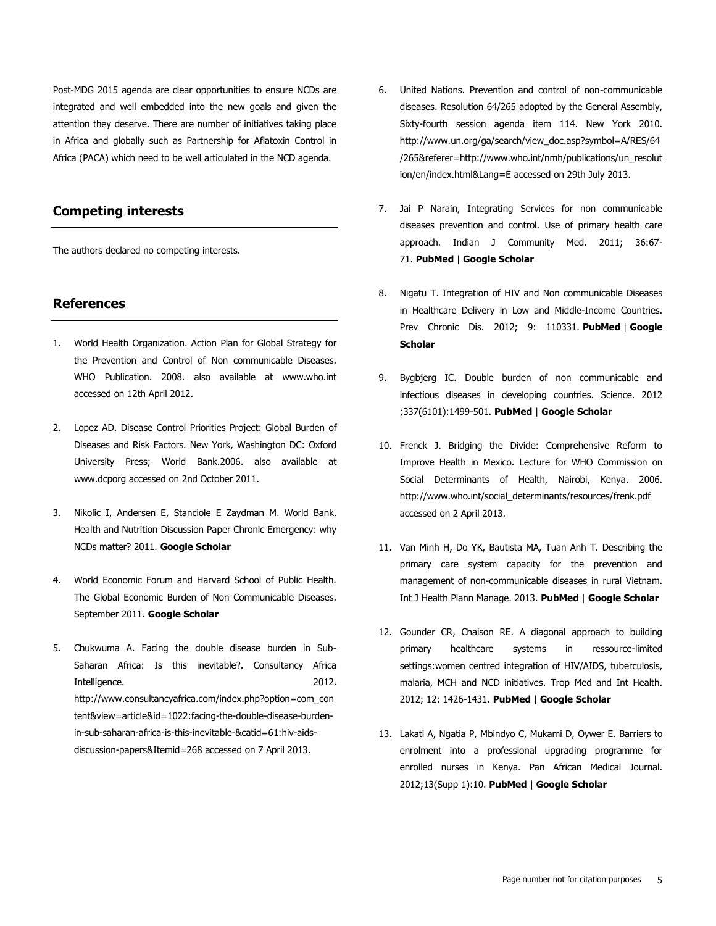Post-MDG 2015 agenda are clear opportunities to ensure NCDs are integrated and well embedded into the new goals and given the attention they deserve. There are number of initiatives taking place in Africa and globally such as Partnership for Aflatoxin Control in Africa (PACA) which need to be well articulated in the NCD agenda.

## **Competing interests**

The authors declared no competing interests.

## **References**

- 1. World Health Organization. Action Plan for Global Strategy for the Prevention and Control of Non communicable Diseases. WHO Publication. 2008. also available at www.who.int accessed on 12th April 2012.
- 2. Lopez AD. Disease Control Priorities Project: Global Burden of Diseases and Risk Factors. New York, Washington DC: Oxford University Press; World Bank.2006. also available at www.dcporg accessed on 2nd October 2011.
- 3. Nikolic I, Andersen E, Stanciole E Zaydman M. World Bank. Health and Nutrition Discussion Paper Chronic Emergency: why NCDs matter? 2011. **[Google Scholar](http://scholar.google.com/scholar?hl=en&q=+World+Bank)**
- 4. World Economic Forum and Harvard School of Public Health. The Global Economic Burden of Non Communicable Diseases. September 2011. **[Google Scholar](http://scholar.google.com/scholar?hl=en&q=+The+Global+Economic+Burden+of+Non+Communicable+Diseases)**
- 5. Chukwuma A. Facing the double disease burden in Sub-Saharan Africa: Is this inevitable?. Consultancy Africa Intelligence. 2012. http://www.consultancyafrica.com/index.php?option=com\_con tent&view=article&id=1022:facing-the-double-disease-burdenin-sub-saharan-africa-is-this-inevitable-&catid=61:hiv-aidsdiscussion-papers&Itemid=268 accessed on 7 April 2013.
- 6. United Nations. Prevention and control of non-communicable diseases. Resolution 64/265 adopted by the General Assembly, Sixty-fourth session agenda item 114. New York 2010. http://www.un.org/ga/search/view\_doc.asp?symbol=A/RES/64 /265&referer=http://www.who.int/nmh/publications/un\_resolut ion/en/index.html&Lang=E accessed on 29th July 2013.
- 7. Jai P Narain, Integrating Services for non communicable diseases prevention and control. Use of primary health care approach. Indian J Community Med. 2011; 36:67- 71. **[PubMed](http://www.ncbi.nlm.nih.gov/entrez/query.fcgi?db=PubMed&cmd=Search&doptcmdl=Citation&defaultField=Title+Word&term=Jai%20P%20Narain%5bauthor%5d+AND++Use+of+primary+health+care+approach)** | **[Google Scholar](http://scholar.google.com/scholar?hl=en&q=+Use+of+primary+health+care+approach)**
- 8. Nigatu T. Integration of HIV and Non communicable Diseases in Healthcare Delivery in Low and Middle-Income Countries. Prev Chronic Dis. 2012; 9: 110331. **[PubMed](http://www.ncbi.nlm.nih.gov/entrez/query.fcgi?db=PubMed&cmd=Search&doptcmdl=Citation&defaultField=Title+Word&term=Nigatu%20T%5bauthor%5d+AND++Integration+of+HIV+and+Non+communicable+Diseases+in+Healthcare+Delivery+in+Low+and+Middle-Income+Countries)** | **[Google](http://scholar.google.com/scholar?hl=en&q=+Integration+of+HIV+and+Non+communicable+Diseases+in+Healthcare+Delivery+in+Low+and+Middle-Income+Countries)  [Scholar](http://scholar.google.com/scholar?hl=en&q=+Integration+of+HIV+and+Non+communicable+Diseases+in+Healthcare+Delivery+in+Low+and+Middle-Income+Countries)**
- 9. Bygbjerg IC. Double burden of non communicable and infectious diseases in developing countries. Science. 2012 ;337(6101):1499-501. **[PubMed](http://www.ncbi.nlm.nih.gov/entrez/query.fcgi?db=PubMed&cmd=Search&doptcmdl=Citation&defaultField=Title+Word&term=Bygbjerg%20IC%5bauthor%5d+AND++Double+burden+of+non+communicable+and+infectious+diseases+in+developing+countries)** | **[Google Scholar](http://scholar.google.com/scholar?hl=en&q=+Double+burden+of+non+communicable+and+infectious+diseases+in+developing+countries)**
- 10. Frenck J. Bridging the Divide: Comprehensive Reform to Improve Health in Mexico. Lecture for WHO Commission on Social Determinants of Health, Nairobi, Kenya. 2006. http://www.who.int/social\_determinants/resources/frenk.pdf accessed on 2 April 2013.
- 11. Van Minh H, Do YK, Bautista MA, Tuan Anh T. Describing the primary care system capacity for the prevention and management of non-communicable diseases in rural Vietnam. Int J Health Plann Manage. 2013. **[PubMed](http://www.ncbi.nlm.nih.gov/entrez/query.fcgi?db=PubMed&cmd=Search&doptcmdl=Citation&defaultField=Title+Word&term=Van%20Minh%20H%5bauthor%5d+AND++Describing+the+primary+care+system+capacity+for+the+prevention+and+management+of+non-communicable+diseases+in+rural+Vietnam)** | **[Google Scholar](http://scholar.google.com/scholar?hl=en&q=+Describing+the+primary+care+system+capacity+for+the+prevention+and+management+of+non-communicable+diseases+in+rural+Vietnam)**
- 12. Gounder CR, Chaison RE. A diagonal approach to building primary healthcare systems in ressource-limited settings:women centred integration of HIV/AIDS, tuberculosis, malaria, MCH and NCD initiatives. Trop Med and Int Health. 2012; 12: 1426-1431. **[PubMed](http://www.ncbi.nlm.nih.gov/entrez/query.fcgi?db=PubMed&cmd=Search&doptcmdl=Citation&defaultField=Title+Word&term=Gounder%20CR%5bauthor%5d+AND++A+diagonal+approach+to+building+primary+healthcare+systems+in+ressource-limited+settings:women+centred+integration+of+HIV/AIDS+tuberculosis+malaria+MCH+and+NCD+initiatives)** | **[Google Scholar](http://scholar.google.com/scholar?hl=en&q=+A+diagonal+approach+to+building+primary+healthcare+systems+in+ressource-limited+settings:women+centred+integration+of+HIV/AIDS+tuberculosis+malaria+MCH+and+NCD+initiatives)**
- 13. Lakati A, Ngatia P, Mbindyo C, Mukami D, Oywer E. Barriers to enrolment into a professional upgrading programme for enrolled nurses in Kenya. Pan African Medical Journal. 2012;13(Supp 1):10. **[PubMed](http://www.ncbi.nlm.nih.gov/entrez/query.fcgi?db=PubMed&cmd=Search&doptcmdl=Citation&defaultField=Title+Word&term=Lakati%20A%5bauthor%5d+AND++Barriers+to+enrolment+into+a+professional+upgrading+programme+for+enrolled+nurses+in+Kenya)** | **[Google Scholar](http://scholar.google.com/scholar?hl=en&q=+Barriers+to+enrolment+into+a+professional+upgrading+programme+for+enrolled+nurses+in+Kenya)**